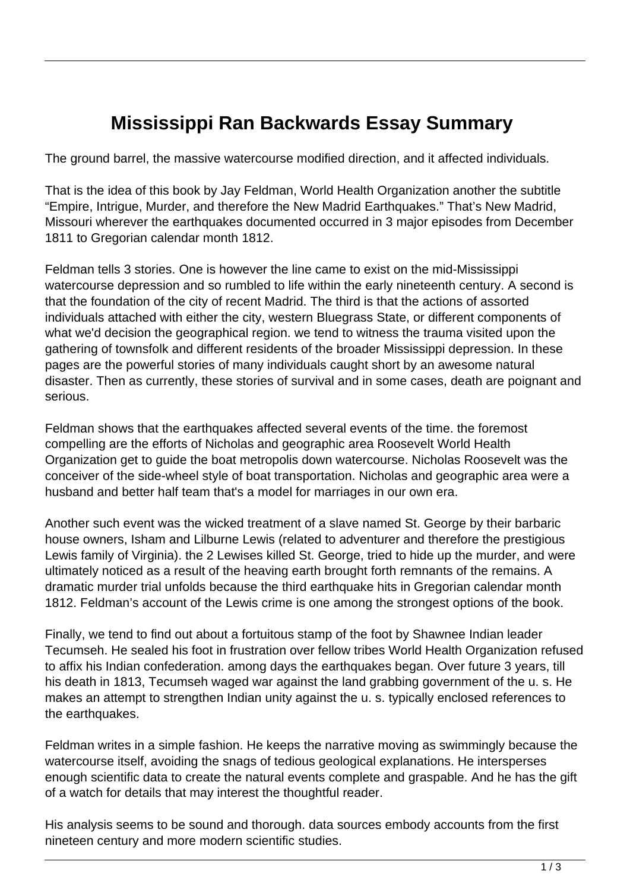## **Mississippi Ran Backwards Essay Summary**

The ground barrel, the massive watercourse modified direction, and it affected individuals.

That is the idea of this book by Jay Feldman, World Health Organization another the subtitle "Empire, Intrigue, Murder, and therefore the New Madrid Earthquakes." That's New Madrid, Missouri wherever the earthquakes documented occurred in 3 major episodes from December 1811 to Gregorian calendar month 1812.

Feldman tells 3 stories. One is however the line came to exist on the mid-Mississippi watercourse depression and so rumbled to life within the early nineteenth century. A second is that the foundation of the city of recent Madrid. The third is that the actions of assorted individuals attached with either the city, western Bluegrass State, or different components of what we'd decision the geographical region. we tend to witness the trauma visited upon the gathering of townsfolk and different residents of the broader Mississippi depression. In these pages are the powerful stories of many individuals caught short by an awesome natural disaster. Then as currently, these stories of survival and in some cases, death are poignant and serious.

Feldman shows that the earthquakes affected several events of the time. the foremost compelling are the efforts of Nicholas and geographic area Roosevelt World Health Organization get to guide the boat metropolis down watercourse. Nicholas Roosevelt was the conceiver of the side-wheel style of boat transportation. Nicholas and geographic area were a husband and better half team that's a model for marriages in our own era.

Another such event was the wicked treatment of a slave named St. George by their barbaric house owners, Isham and Lilburne Lewis (related to adventurer and therefore the prestigious Lewis family of Virginia). the 2 Lewises killed St. George, tried to hide up the murder, and were ultimately noticed as a result of the heaving earth brought forth remnants of the remains. A dramatic murder trial unfolds because the third earthquake hits in Gregorian calendar month 1812. Feldman's account of the Lewis crime is one among the strongest options of the book.

Finally, we tend to find out about a fortuitous stamp of the foot by Shawnee Indian leader Tecumseh. He sealed his foot in frustration over fellow tribes World Health Organization refused to affix his Indian confederation. among days the earthquakes began. Over future 3 years, till his death in 1813, Tecumseh waged war against the land grabbing government of the u. s. He makes an attempt to strengthen Indian unity against the u. s. typically enclosed references to the earthquakes.

Feldman writes in a simple fashion. He keeps the narrative moving as swimmingly because the watercourse itself, avoiding the snags of tedious geological explanations. He intersperses enough scientific data to create the natural events complete and graspable. And he has the gift of a watch for details that may interest the thoughtful reader.

His analysis seems to be sound and thorough. data sources embody accounts from the first nineteen century and more modern scientific studies.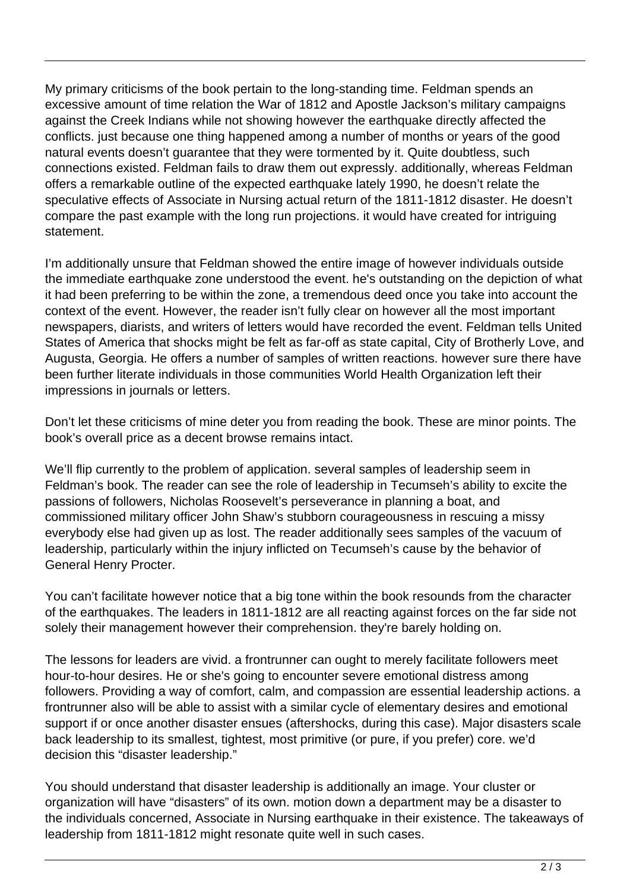My primary criticisms of the book pertain to the long-standing time. Feldman spends an excessive amount of time relation the War of 1812 and Apostle Jackson's military campaigns against the Creek Indians while not showing however the earthquake directly affected the conflicts. just because one thing happened among a number of months or years of the good natural events doesn't guarantee that they were tormented by it. Quite doubtless, such connections existed. Feldman fails to draw them out expressly. additionally, whereas Feldman offers a remarkable outline of the expected earthquake lately 1990, he doesn't relate the speculative effects of Associate in Nursing actual return of the 1811-1812 disaster. He doesn't compare the past example with the long run projections. it would have created for intriguing statement.

I'm additionally unsure that Feldman showed the entire image of however individuals outside the immediate earthquake zone understood the event. he's outstanding on the depiction of what it had been preferring to be within the zone, a tremendous deed once you take into account the context of the event. However, the reader isn't fully clear on however all the most important newspapers, diarists, and writers of letters would have recorded the event. Feldman tells United States of America that shocks might be felt as far-off as state capital, City of Brotherly Love, and Augusta, Georgia. He offers a number of samples of written reactions. however sure there have been further literate individuals in those communities World Health Organization left their impressions in journals or letters.

Don't let these criticisms of mine deter you from reading the book. These are minor points. The book's overall price as a decent browse remains intact.

We'll flip currently to the problem of application. several samples of leadership seem in Feldman's book. The reader can see the role of leadership in Tecumseh's ability to excite the passions of followers, Nicholas Roosevelt's perseverance in planning a boat, and commissioned military officer John Shaw's stubborn courageousness in rescuing a missy everybody else had given up as lost. The reader additionally sees samples of the vacuum of leadership, particularly within the injury inflicted on Tecumseh's cause by the behavior of General Henry Procter.

You can't facilitate however notice that a big tone within the book resounds from the character of the earthquakes. The leaders in 1811-1812 are all reacting against forces on the far side not solely their management however their comprehension. they're barely holding on.

The lessons for leaders are vivid. a frontrunner can ought to merely facilitate followers meet hour-to-hour desires. He or she's going to encounter severe emotional distress among followers. Providing a way of comfort, calm, and compassion are essential leadership actions. a frontrunner also will be able to assist with a similar cycle of elementary desires and emotional support if or once another disaster ensues (aftershocks, during this case). Major disasters scale back leadership to its smallest, tightest, most primitive (or pure, if you prefer) core. we'd decision this "disaster leadership."

You should understand that disaster leadership is additionally an image. Your cluster or organization will have "disasters" of its own. motion down a department may be a disaster to the individuals concerned, Associate in Nursing earthquake in their existence. The takeaways of leadership from 1811-1812 might resonate quite well in such cases.